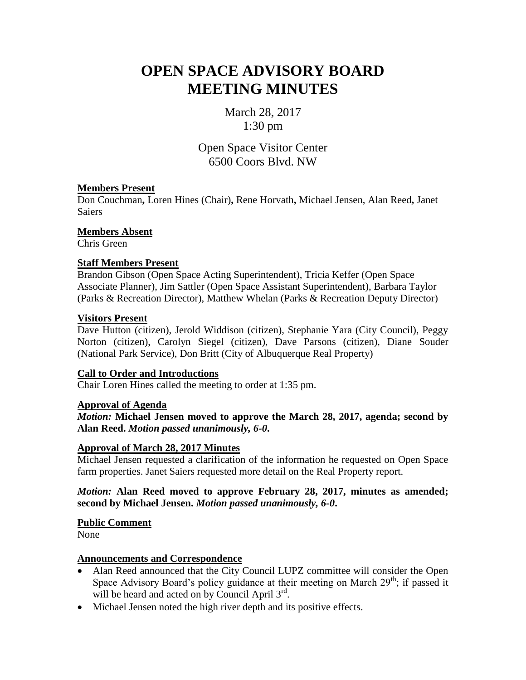# **OPEN SPACE ADVISORY BOARD MEETING MINUTES**

March 28, 2017 1:30 pm

Open Space Visitor Center 6500 Coors Blvd. NW

## **Members Present**

Don Couchman**,** Loren Hines (Chair)**,** Rene Horvath**,** Michael Jensen, Alan Reed**,** Janet **Saiers** 

**Members Absent**

Chris Green

## **Staff Members Present**

Brandon Gibson (Open Space Acting Superintendent), Tricia Keffer (Open Space Associate Planner), Jim Sattler (Open Space Assistant Superintendent), Barbara Taylor (Parks & Recreation Director), Matthew Whelan (Parks & Recreation Deputy Director)

## **Visitors Present**

Dave Hutton (citizen), Jerold Widdison (citizen), Stephanie Yara (City Council), Peggy Norton (citizen), Carolyn Siegel (citizen), Dave Parsons (citizen), Diane Souder (National Park Service), Don Britt (City of Albuquerque Real Property)

## **Call to Order and Introductions**

Chair Loren Hines called the meeting to order at 1:35 pm.

## **Approval of Agenda**

*Motion:* **Michael Jensen moved to approve the March 28, 2017, agenda; second by Alan Reed.** *Motion passed unanimously, 6-0***.**

## **Approval of March 28, 2017 Minutes**

Michael Jensen requested a clarification of the information he requested on Open Space farm properties. Janet Saiers requested more detail on the Real Property report.

## *Motion:* **Alan Reed moved to approve February 28, 2017, minutes as amended; second by Michael Jensen.** *Motion passed unanimously, 6-0***.**

## **Public Comment**

None

## **Announcements and Correspondence**

- Alan Reed announced that the City Council LUPZ committee will consider the Open Space Advisory Board's policy guidance at their meeting on March  $29<sup>th</sup>$ ; if passed it will be heard and acted on by Council April 3rd.
- Michael Jensen noted the high river depth and its positive effects.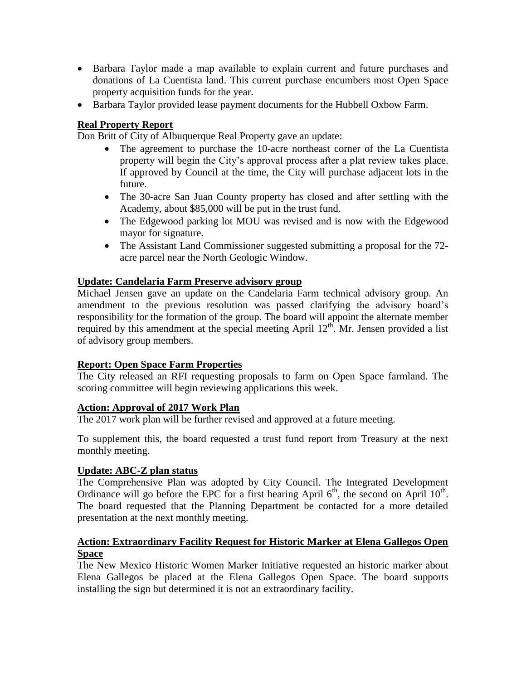- Barbara Taylor made a map available to explain current and future purchases and donations of La Cuentista land. This current purchase encumbers most Open Space property acquisition funds for the year.
- Barbara Taylor provided lease payment documents for the Hubbell Oxbow Farm.

## **Real Property Report**

Don Britt of City of Albuquerque Real Property gave an update:

- The agreement to purchase the 10-acre northeast corner of the La Cuentista property will begin the City's approval process after a plat review takes place. If approved by Council at the time, the City will purchase adjacent lots in the future.
- The 30-acre San Juan County property has closed and after settling with the Academy, about \$85,000 will be put in the trust fund.
- The Edgewood parking lot MOU was revised and is now with the Edgewood mayor for signature.
- The Assistant Land Commissioner suggested submitting a proposal for the 72acre parcel near the North Geologic Window.

## **Update: Candelaria Farm Preserve advisory group**

Michael Jensen gave an update on the Candelaria Farm technical advisory group. An amendment to the previous resolution was passed clarifying the advisory board's responsibility for the formation of the group. The board will appoint the alternate member required by this amendment at the special meeting April  $12<sup>th</sup>$ . Mr. Jensen provided a list of advisory group members.

## **Report: Open Space Farm Properties**

The City released an RFI requesting proposals to farm on Open Space farmland. The scoring committee will begin reviewing applications this week.

## **Action: Approval of 2017 Work Plan**

The 2017 work plan will be further revised and approved at a future meeting.

To supplement this, the board requested a trust fund report from Treasury at the next monthly meeting.

## **Update: ABC-Z plan status**

The Comprehensive Plan was adopted by City Council. The Integrated Development Ordinance will go before the EPC for a first hearing April  $6<sup>th</sup>$ , the second on April  $10<sup>th</sup>$ . The board requested that the Planning Department be contacted for a more detailed presentation at the next monthly meeting.

## **Action: Extraordinary Facility Request for Historic Marker at Elena Gallegos Open Space**

The New Mexico Historic Women Marker Initiative requested an historic marker about Elena Gallegos be placed at the Elena Gallegos Open Space. The board supports installing the sign but determined it is not an extraordinary facility.